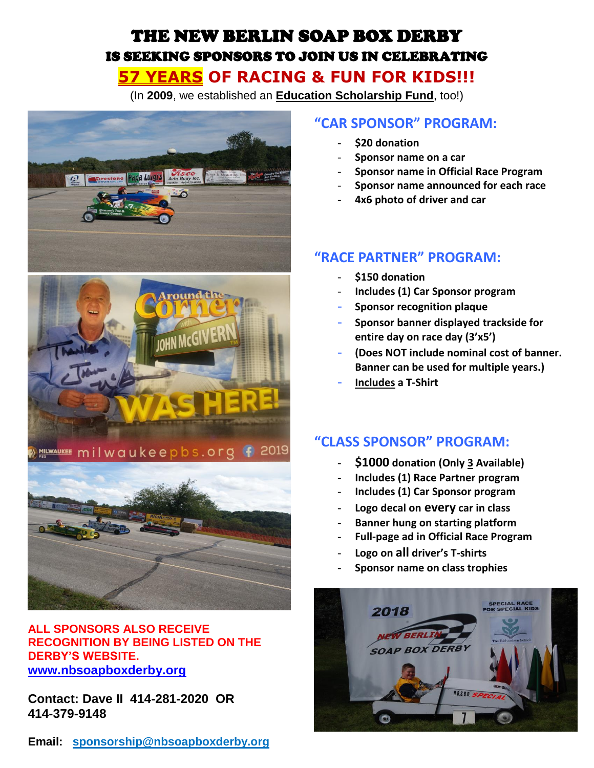# THE NEW BERLIN SOAP BOX DERBY IS SEEKING SPONSORS TO JOIN US IN CELEBRATING **57 YEARS OF RACING & FUN FOR KIDS!!!**

(In **2009**, we established an **Education Scholarship Fund**, too!)



## **ALL SPONSORS ALSO RECEIVE RECOGNITION BY BEING LISTED ON THE DERBY'S WEBSITE. [www.nbsoapboxderby.org](http://www.nbsoapboxderby.org/)**

**Contact: Dave II 414-281-2020 OR 414-379-9148** 

# **"CAR SPONSOR" PROGRAM:**

- **\$20 donation**
- **Sponsor name on a car**
- **Sponsor name in Official Race Program**
- **Sponsor name announced for each race**
- **4x6 photo of driver and car**

## **"RACE PARTNER" PROGRAM:**

- **\$150 donation**
- **Includes (1) Car Sponsor program**
- **Sponsor recognition plaque**
- **Sponsor banner displayed trackside for entire day on race day (3'x5')**
- **(Does NOT include nominal cost of banner. Banner can be used for multiple years.)**
- **Includes a T-Shirt**

# **"CLASS SPONSOR" PROGRAM:**

- **\$1000 donation (Only 3 Available)**
- **Includes (1) Race Partner program**
- **Includes (1) Car Sponsor program**
- **Logo decal on every car in class**
- **Banner hung on starting platform**
- **Full-page ad in Official Race Program**
- **Logo on all driver's T-shirts**
- **Sponsor name on class trophies**